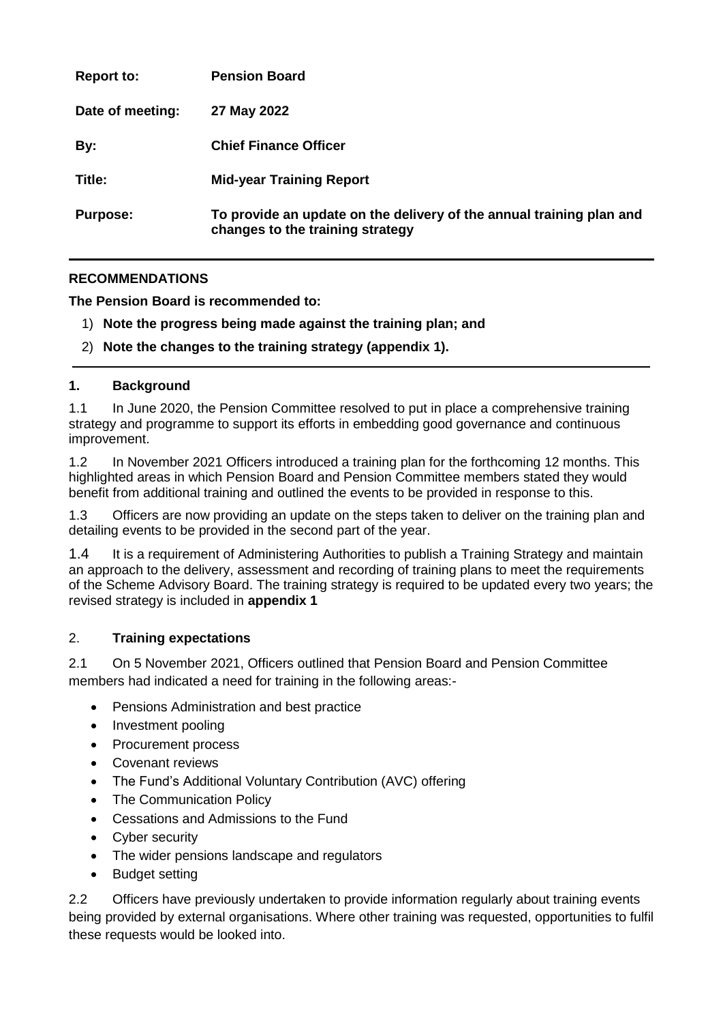| <b>Report to:</b> | <b>Pension Board</b>                                                                                     |
|-------------------|----------------------------------------------------------------------------------------------------------|
| Date of meeting:  | 27 May 2022                                                                                              |
| By:               | <b>Chief Finance Officer</b>                                                                             |
| Title:            | <b>Mid-year Training Report</b>                                                                          |
| <b>Purpose:</b>   | To provide an update on the delivery of the annual training plan and<br>changes to the training strategy |

### **RECOMMENDATIONS**

**The Pension Board is recommended to:**

- 1) **Note the progress being made against the training plan; and**
- 2) **Note the changes to the training strategy (appendix 1).**

#### **1. Background**

1.1 In June 2020, the Pension Committee resolved to put in place a comprehensive training strategy and programme to support its efforts in embedding good governance and continuous improvement.

1.2 In November 2021 Officers introduced a training plan for the forthcoming 12 months. This highlighted areas in which Pension Board and Pension Committee members stated they would benefit from additional training and outlined the events to be provided in response to this.

1.3 Officers are now providing an update on the steps taken to deliver on the training plan and detailing events to be provided in the second part of the year.

1.4 It is a requirement of Administering Authorities to publish a Training Strategy and maintain an approach to the delivery, assessment and recording of training plans to meet the requirements of the Scheme Advisory Board. The training strategy is required to be updated every two years; the revised strategy is included in **appendix 1**

#### 2. **Training expectations**

2.1 On 5 November 2021, Officers outlined that Pension Board and Pension Committee members had indicated a need for training in the following areas:-

- Pensions Administration and best practice
- Investment pooling
- Procurement process
- Covenant reviews
- The Fund's Additional Voluntary Contribution (AVC) offering
- The Communication Policy
- Cessations and Admissions to the Fund
- Cyber security
- The wider pensions landscape and regulators
- Budget setting

2.2 Officers have previously undertaken to provide information regularly about training events being provided by external organisations. Where other training was requested, opportunities to fulfil these requests would be looked into.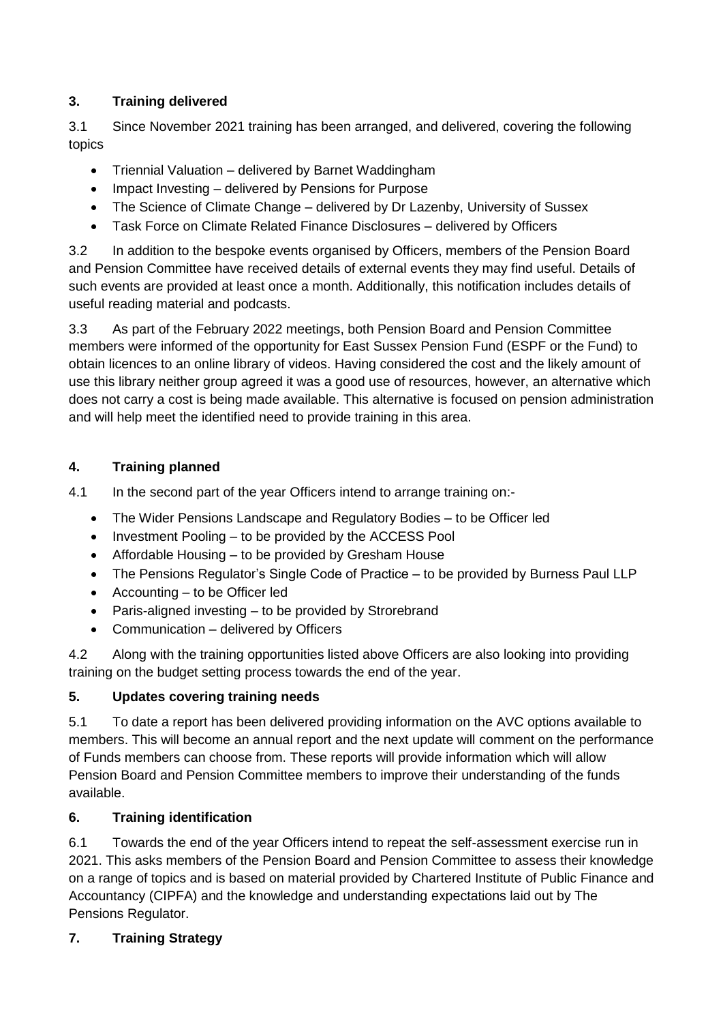### **3. Training delivered**

3.1 Since November 2021 training has been arranged, and delivered, covering the following topics

- Triennial Valuation delivered by Barnet Waddingham
- Impact Investing delivered by Pensions for Purpose
- The Science of Climate Change delivered by Dr Lazenby, University of Sussex
- Task Force on Climate Related Finance Disclosures delivered by Officers

3.2 In addition to the bespoke events organised by Officers, members of the Pension Board and Pension Committee have received details of external events they may find useful. Details of such events are provided at least once a month. Additionally, this notification includes details of useful reading material and podcasts.

3.3 As part of the February 2022 meetings, both Pension Board and Pension Committee members were informed of the opportunity for East Sussex Pension Fund (ESPF or the Fund) to obtain licences to an online library of videos. Having considered the cost and the likely amount of use this library neither group agreed it was a good use of resources, however, an alternative which does not carry a cost is being made available. This alternative is focused on pension administration and will help meet the identified need to provide training in this area.

## **4. Training planned**

4.1 In the second part of the year Officers intend to arrange training on:-

- The Wider Pensions Landscape and Regulatory Bodies to be Officer led
- Investment Pooling to be provided by the ACCESS Pool
- Affordable Housing to be provided by Gresham House
- The Pensions Regulator's Single Code of Practice to be provided by Burness Paul LLP
- Accounting to be Officer led
- Paris-aligned investing to be provided by Strorebrand
- Communication delivered by Officers

4.2 Along with the training opportunities listed above Officers are also looking into providing training on the budget setting process towards the end of the year.

# **5. Updates covering training needs**

5.1 To date a report has been delivered providing information on the AVC options available to members. This will become an annual report and the next update will comment on the performance of Funds members can choose from. These reports will provide information which will allow Pension Board and Pension Committee members to improve their understanding of the funds available.

# **6. Training identification**

6.1 Towards the end of the year Officers intend to repeat the self-assessment exercise run in 2021. This asks members of the Pension Board and Pension Committee to assess their knowledge on a range of topics and is based on material provided by Chartered Institute of Public Finance and Accountancy (CIPFA) and the knowledge and understanding expectations laid out by The Pensions Regulator.

# **7. Training Strategy**